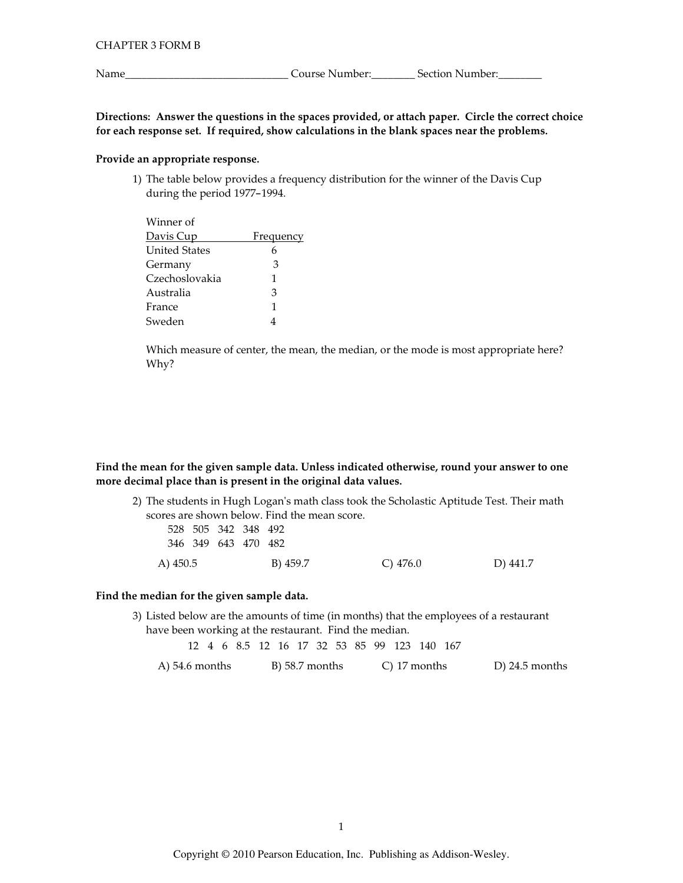Name\_

Course Number: Section Number:

Directions: Answer the questions in the spaces provided, or attach paper. Circle the correct choice for each response set. If required, show calculations in the blank spaces near the problems.

## Provide an appropriate response.

1) The table below provides a frequency distribution for the winner of the Davis Cup during the period 1977-1994.

| <b>Frequency</b> |
|------------------|
| 6                |
| 3                |
| 1                |
| 3                |
| 1                |
|                  |
|                  |

Which measure of center, the mean, the median, or the mode is most appropriate here? Why?

Find the mean for the given sample data. Unless indicated otherwise, round your answer to one more decimal place than is present in the original data values.

2) The students in Hugh Logan's math class took the Scholastic Aptitude Test. Their math scores are shown below. Find the mean score. 528 505 342 348 492

| A) 450.5 |  |                            | B) 459.7 | C) $476.0$ | D) 441.7 |
|----------|--|----------------------------|----------|------------|----------|
|          |  | 346 349 643 470 482        |          |            |          |
|          |  | <u>JZO JUJ JIZ JIO IJZ</u> |          |            |          |

#### Find the median for the given sample data.

3) Listed below are the amounts of time (in months) that the employees of a restaurant have been working at the restaurant. Find the median.

12 4 6 8.5 12 16 17 32 53 85 99 123 140 167

A)  $54.6$  months B) 58.7 months C) 17 months  $D$ ) 24.5 months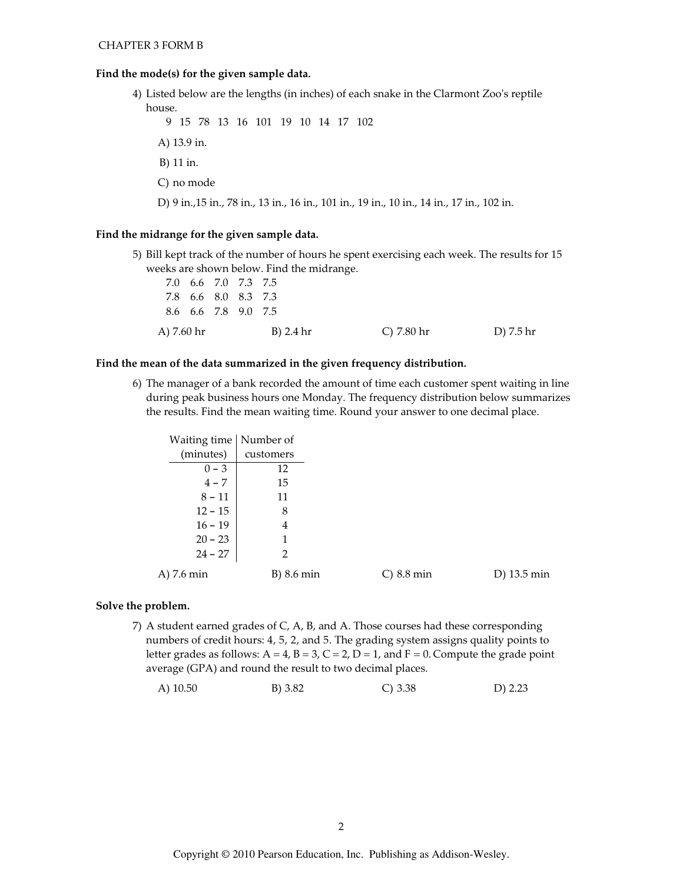#### Find the mode(s) for the given sample data.

4) Listed below are the lengths (in inches) of each snake in the Clarmont Zoo's reptile house.

9 15 78 13 16 101 19 10 14 17 102 A) 13.9 in. B) 11 in. C) no mode D) 9 in., 15 in., 78 in., 13 in., 16 in., 101 in., 19 in., 10 in., 14 in., 17 in., 102 in.

# Find the midrange for the given sample data.

5) Bill kept track of the number of hours he spent exercising each week. The results for 15 weeks are shown below. Find the midrange.

| 7.0 6.6 7.0 7.3 7.5 |  |           |            |           |
|---------------------|--|-----------|------------|-----------|
| 7.8 6.6 8.0 8.3 7.3 |  |           |            |           |
| 8.6 6.6 7.8 9.0 7.5 |  |           |            |           |
| A) 7.60 hr          |  | B) 2.4 hr | C) 7.80 hr | D) 7.5 hr |

#### Find the mean of the data summarized in the given frequency distribution.

6) The manager of a bank recorded the amount of time each customer spent waiting in line during peak business hours one Monday. The frequency distribution below summarizes the results. Find the mean waiting time. Round your answer to one decimal place.

| Waiting time   Number of |              |               |             |
|--------------------------|--------------|---------------|-------------|
| (minutes)                | customers    |               |             |
| $0 - 3$                  | 12           |               |             |
| $4 - 7$                  | 15           |               |             |
| $8 - 11$                 | 11           |               |             |
| $12 - 15$                | 8            |               |             |
| $16 - 19$                | 4            |               |             |
| $20 - 23$                | 1            |               |             |
| $24 - 27$                | 2            |               |             |
| A) 7.6 min               | $B)$ 8.6 min | $C$ ) 8.8 min | D) 13.5 min |

#### Solve the problem.

7) A student earned grades of C, A, B, and A. Those courses had these corresponding numbers of credit hours: 4, 5, 2, and 5. The grading system assigns quality points to letter grades as follows:  $A = 4$ ,  $B = 3$ ,  $C = 2$ ,  $D = 1$ , and  $F = 0$ . Compute the grade point average (GPA) and round the result to two decimal places.

| B) 3.82<br>A) $10.50$ | C) 3.38 | D) 2.23 |
|-----------------------|---------|---------|
|-----------------------|---------|---------|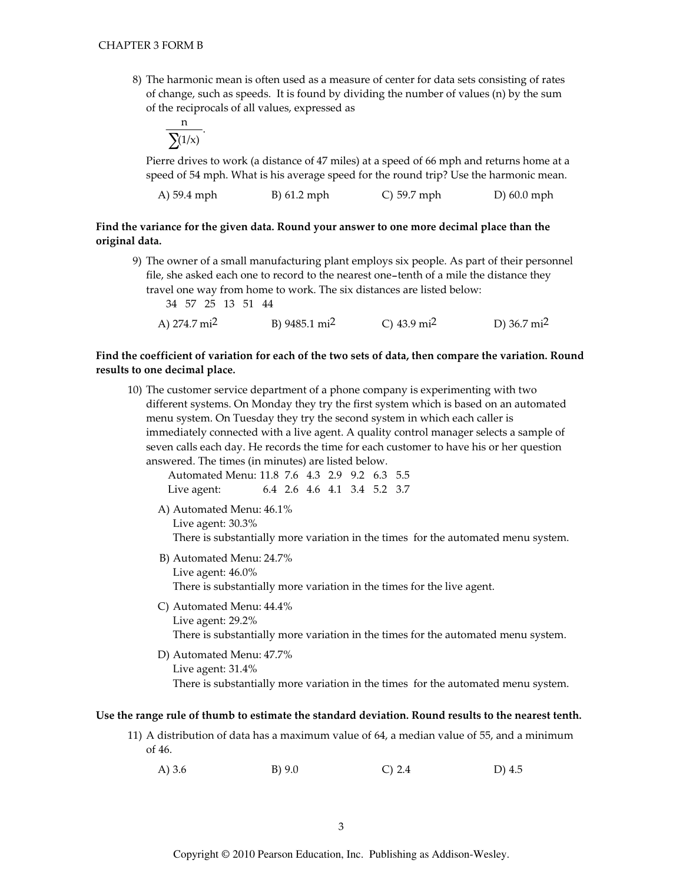8) The harmonic mean is often used as a measure of center for data sets consisting of rates of change, such as speeds. It is found by dividing the number of values (n) by the sum of the reciprocals of all values, expressed as

$$
\frac{n}{\sum(1/x)}
$$

Pierre drives to work (a distance of 47 miles) at a speed of 66 mph and returns home at a speed of 54 mph. What is his average speed for the round trip? Use the harmonic mean.

| A) 59.4 mph<br>$B)$ 61.2 mph | $\degree$ C) 59.7 mph | $D(60.0)$ mph |
|------------------------------|-----------------------|---------------|
|------------------------------|-----------------------|---------------|

## Find the variance for the given data. Round your answer to one more decimal place than the original data.

9) The owner of a small manufacturing plant employs six people. As part of their personnel file, she asked each one to record to the nearest one-tenth of a mile the distance they travel one way from home to work. The six distances are listed below: 34 57 25 13 51 44 A)  $274.7 \text{ mi}^2$ B) 9485.1 mi<sup>2</sup> C)  $43.9 \text{ mi}^2$ D)  $36.7 \text{ mi}^2$ 

## Find the coefficient of variation for each of the two sets of data, then compare the variation. Round results to one decimal place.

10) The customer service department of a phone company is experimenting with two different systems. On Monday they try the first system which is based on an automated menu system. On Tuesday they try the second system in which each caller is immediately connected with a live agent. A quality control manager selects a sample of seven calls each day. He records the time for each customer to have his or her question answered. The times (in minutes) are listed below.

| Automated Menu: 11.8 7.6 4.3 2.9 9.2 6.3 5.5 |  |  |                             |  |
|----------------------------------------------|--|--|-----------------------------|--|
| Live agent:                                  |  |  | 6.4 2.6 4.6 4.1 3.4 5.2 3.7 |  |

- A) Automated Menu: 46.1% Live agent: 30.3% There is substantially more variation in the times for the automated menu system.
- B) Automated Menu: 24.7% Live agent:  $46.0\%$ There is substantially more variation in the times for the live agent.
- C) Automated Menu: 44.4%
	- Live agent: 29.2% There is substantially more variation in the times for the automated menu system.
- D) Automated Menu: 47.7% Live agent:  $31.4\%$ There is substantially more variation in the times for the automated menu system.

#### Use the range rule of thumb to estimate the standard deviation. Round results to the nearest tenth.

- 11) A distribution of data has a maximum value of 64, a median value of 55, and a minimum of 46.
	- $B) 9.0$ A)  $3.6$  $C) 2.4$ D)  $4.5$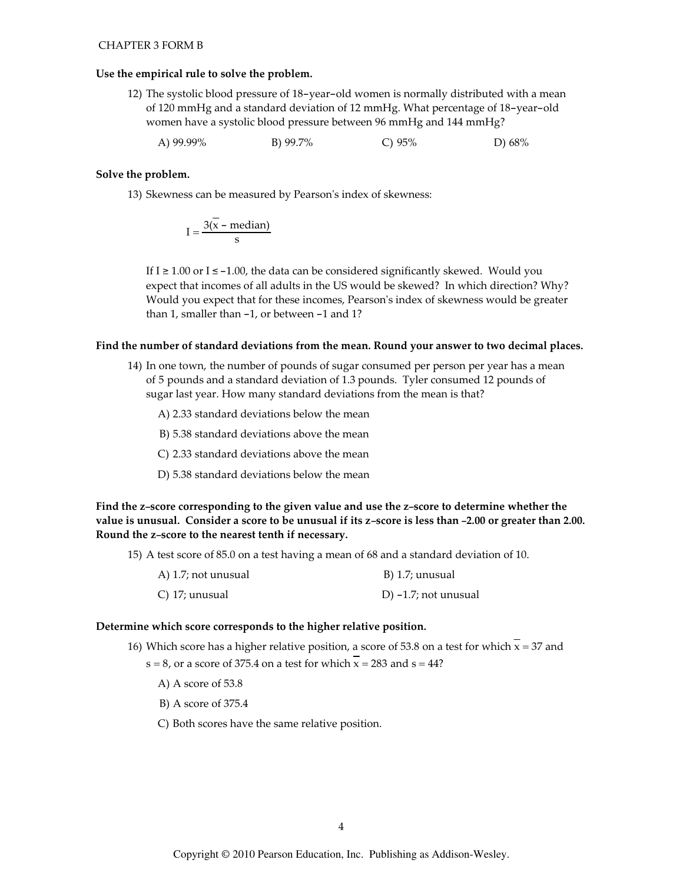#### Use the empirical rule to solve the problem.

- 12) The systolic blood pressure of 18-year-old women is normally distributed with a mean of 120 mmHg and a standard deviation of 12 mmHg. What percentage of 18-year-old women have a systolic blood pressure between 96 mmHg and 144 mmHg?
	- A) 99.99% B) 99.7% C)  $95%$ D)  $68\%$

#### Solve the problem.

13) Skewness can be measured by Pearson's index of skewness:

$$
I = \frac{3(\overline{x} - \text{median})}{s}
$$

If  $I \ge 1.00$  or  $I \le -1.00$ , the data can be considered significantly skewed. Would you expect that incomes of all adults in the US would be skewed? In which direction? Why? Would you expect that for these incomes, Pearson's index of skewness would be greater than 1, smaller than  $-1$ , or between  $-1$  and 1?

#### Find the number of standard deviations from the mean. Round your answer to two decimal places.

14) In one town, the number of pounds of sugar consumed per person per year has a mean of 5 pounds and a standard deviation of 1.3 pounds. Tyler consumed 12 pounds of sugar last year. How many standard deviations from the mean is that?

A) 2.33 standard deviations below the mean

B) 5.38 standard deviations above the mean

- C) 2.33 standard deviations above the mean
- D) 5.38 standard deviations below the mean

Find the z-score corresponding to the given value and use the z-score to determine whether the value is unusual. Consider a score to be unusual if its z-score is less than -2.00 or greater than 2.00. Round the z-score to the nearest tenth if necessary.

15) A test score of 85.0 on a test having a mean of 68 and a standard deviation of 10.

| $(A)$ 1.7; not unusual | B) 1.7; unusual         |
|------------------------|-------------------------|
| C) 17; unusual         | D) $-1.7$ ; not unusual |

#### Determine which score corresponds to the higher relative position.

- 16) Which score has a higher relative position, a score of 53.8 on a test for which  $\bar{x}$  = 37 and
	- $s = 8$ , or a score of 375.4 on a test for which  $\overline{x} = 283$  and  $s = 44$ ?
		- A) A score of 53.8
		- B) A score of 375.4
		- C) Both scores have the same relative position.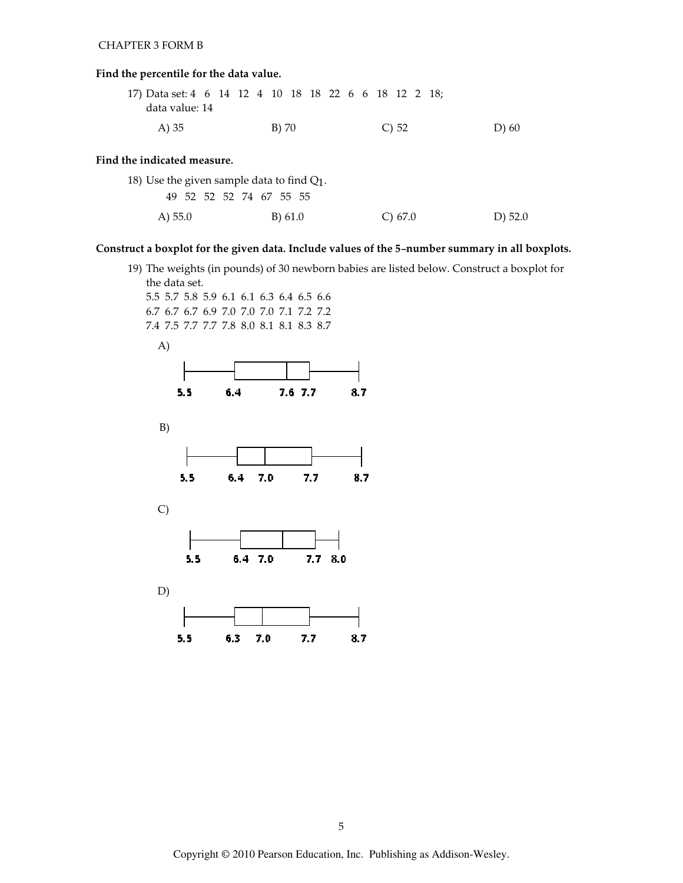# Find the percentile for the data value.

| 17) Data set: 4 6 14 12 4 10 18 18 22 6 6 18 12 2 18; |  |  |       |  |  |  |            |  |  |         |  |
|-------------------------------------------------------|--|--|-------|--|--|--|------------|--|--|---------|--|
| data value: 14                                        |  |  |       |  |  |  |            |  |  |         |  |
| A) 35                                                 |  |  | B) 70 |  |  |  | $\circ$ 52 |  |  | $D)$ 60 |  |

## Find the indicated measure.

| 18) Use the given sample data to find $Q_1$ . |                         |            |         |  |  |  |  |  |  |
|-----------------------------------------------|-------------------------|------------|---------|--|--|--|--|--|--|
|                                               | 49 52 52 52 74 67 55 55 |            |         |  |  |  |  |  |  |
| A) $55.0$                                     | B) 61.0                 | $C$ ) 67.0 | D) 52.0 |  |  |  |  |  |  |

# Construct a boxplot for the given data. Include values of the 5-number summary in all boxplots.

19) The weights (in pounds) of 30 newborn babies are listed below. Construct a boxplot for the data set.

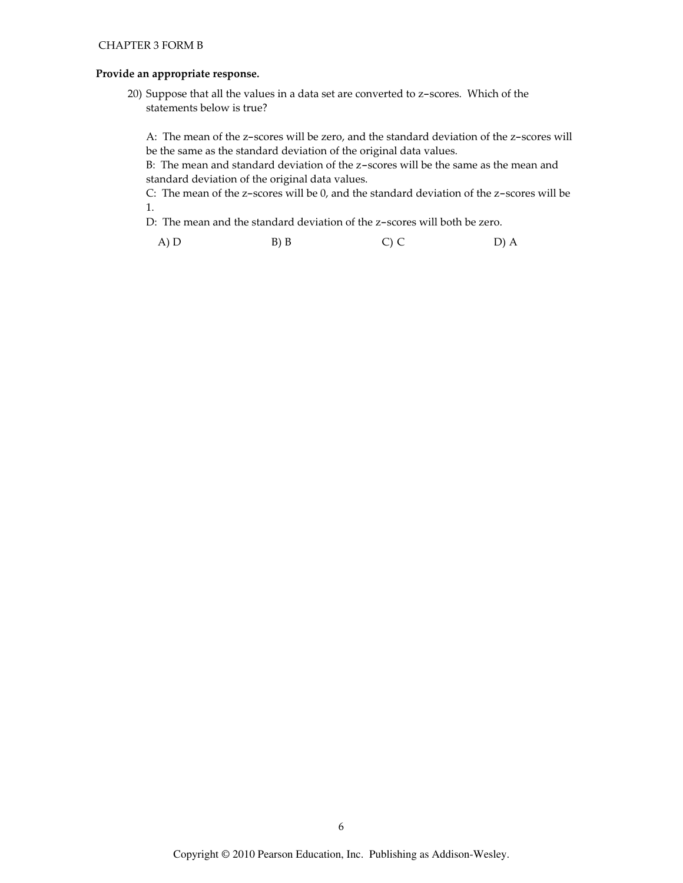## Provide an appropriate response.

20) Suppose that all the values in a data set are converted to z-scores. Which of the statements below is true?

A: The mean of the z-scores will be zero, and the standard deviation of the z-scores will be the same as the standard deviation of the original data values.

B: The mean and standard deviation of the z-scores will be the same as the mean and standard deviation of the original data values.

C: The mean of the z-scores will be 0, and the standard deviation of the z-scores will be 1.

D: The mean and the standard deviation of the z-scores will both be zero.

A) D  $B) B$  $C)$  C D) A